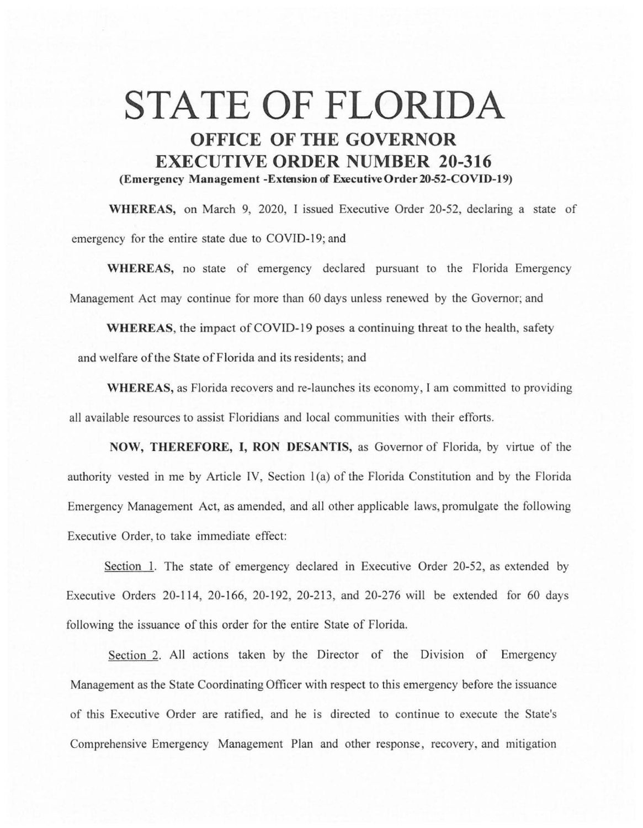## **STATE OF FLORIDA OFFICE OF THE GOVERNOR EXECUTIVE ORDER NUMBER 20-316 (Emergency Management -Extension of Executive0rder20-52-COVID-19)**

**WHEREAS,** on March 9, 2020, I issued Executive Order 20-52, declaring a state of emergency for the entire state due to COVID-19; and

**WHEREAS,** no state of emergency declared pursuant to the Florida Emergency Management Act may continue for more than 60 days unless renewed by the Governor; and

**WHEREAS,** the impact of COVID-19 poses a continuing threat to the health, safety and welfare of the State of Florida and its residents; and

**WHEREAS,** as Florida recovers and re-launches its economy, l am committed to providing all available resources to assist Floridians and local communities with their efforts.

**NOW, THEREFORE, I, RON DESANTIS,** as Governor of Florida, by virtue of the authority vested in me by Article IV, Section 1(a) of the Florida Constitution and by the Florida Emergency Management Act, as amended, and all other applicable laws, promulgate the following Executive Order, to take immediate effect:

Section 1. The state of emergency declared in Executive Order 20-52, as extended by Executive Orders 20-114, 20-166, 20-192, 20-213, and 20-276 will be extended for 60 days following the issuance of this order for the entire State of Florida.

Section 2. All actions taken by the Director of the Division of Emergency Management as the State Coordinating Officer with respect to this emergency before the issuance of this Executive Order are ratified, and he is directed to continue to execute the State's Comprehensive Emergency Management Plan and other response, recovery, and mitigation